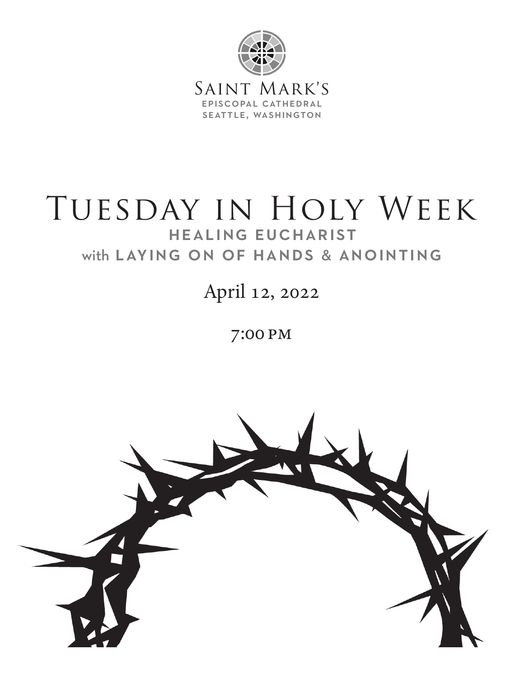

# TUESDAY IN HOLY WEEK healing eucharist with laying on of hands & anointing

April 12, 2022

7:00 pm

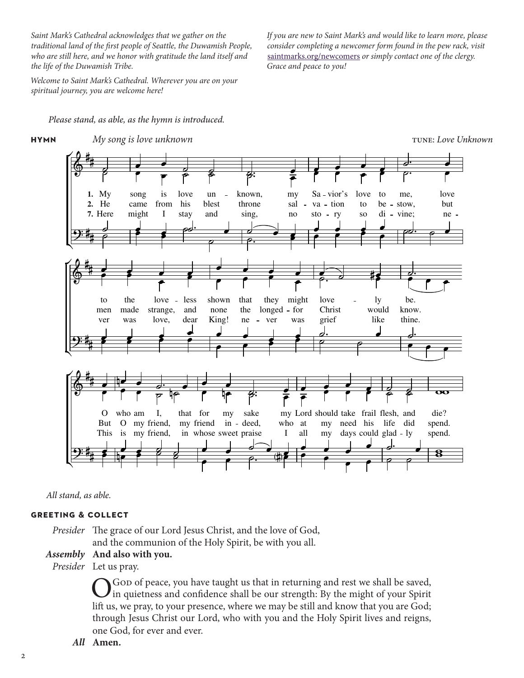*Saint Mark's Cathedral acknowledges that we gather on the traditional land of the first people of Seattle, the Duwamish People, who are still here, and we honor with gratitude the land itself and the life of the Duwamish Tribe.*

*Welcome to Saint Mark's Cathedral. Wherever you are on your spiritual journey, you are welcome here!*

*If you are new to Saint Mark's and would like to learn more, please consider completing a newcomer form found in the pew rack, visit*  saintmarks.org/newcomers *or simply contact one of the clergy. Grace and peace to you!*

TUNE: Love Unknown

 *Please stand, as able, as the hymn is introduced.*







#### **greeting & collect**

*Presider* The grace of our Lord Jesus Christ, and the love of God, and the communion of the Holy Spirit, be with you all.

#### *Assembly* **And also with you.**

*Presider* Let us pray.

God of peace, you have taught us that in returning and rest we shall be saved, In quietness and confidence shall be our strength: By the might of your Spirit lift us, we pray, to your presence, where we may be still and know that you are God; through Jesus Christ our Lord, who with you and the Holy Spirit lives and reigns, one God, for ever and ever.

Ļ,

*All* **Amen.**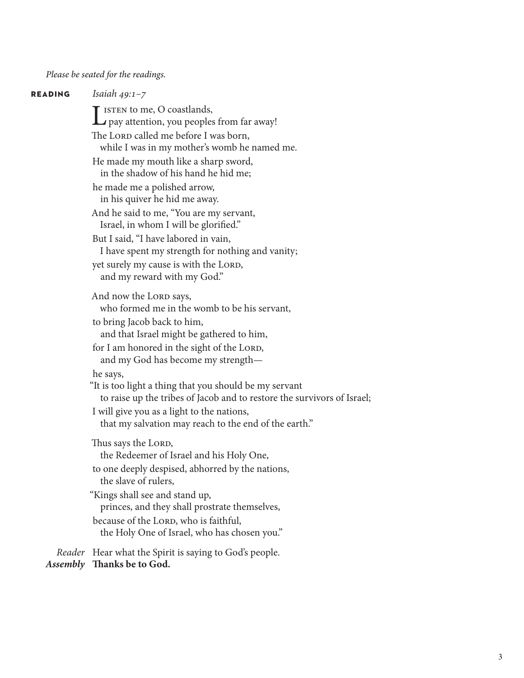#### *Please be seated for the readings.*

**reading** *Isaiah 49:1–7* I ISTEN to me, O coastlands,<br>pay attention, you peoples from far away! The LORD called me before I was born, while I was in my mother's womb he named me. He made my mouth like a sharp sword, in the shadow of his hand he hid me; he made me a polished arrow, in his quiver he hid me away. And he said to me, "You are my servant, Israel, in whom I will be glorified." But I said, "I have labored in vain, I have spent my strength for nothing and vanity; yet surely my cause is with the LORD, and my reward with my God." And now the LORD says, who formed me in the womb to be his servant, to bring Jacob back to him, and that Israel might be gathered to him, for I am honored in the sight of the LORD, and my God has become my strength he says, "It is too light a thing that you should be my servant to raise up the tribes of Jacob and to restore the survivors of Israel; I will give you as a light to the nations, that my salvation may reach to the end of the earth." Thus says the LORD, the Redeemer of Israel and his Holy One, to one deeply despised, abhorred by the nations, the slave of rulers, "Kings shall see and stand up, princes, and they shall prostrate themselves, because of the LORD, who is faithful, the Holy One of Israel, who has chosen you." *Reader* Hear what the Spirit is saying to God's people. *Assembly* **Thanks be to God.**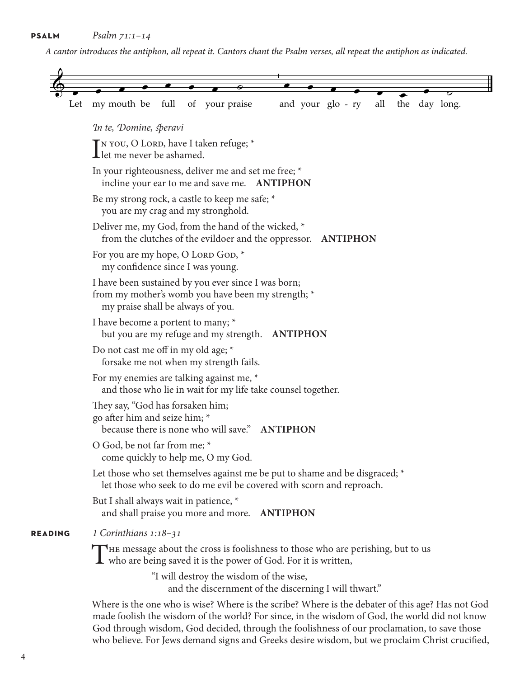*A cantor introduces the antiphon, all repeat it. Cantors chant the Psalm verses, all repeat the antiphon as indicated.*

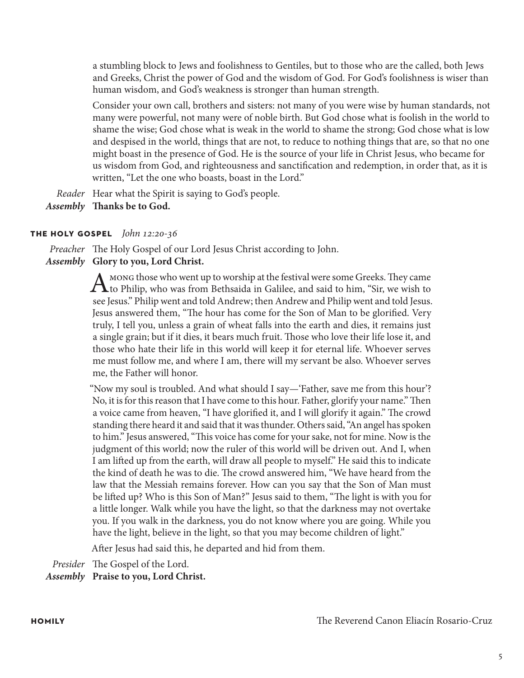a stumbling block to Jews and foolishness to Gentiles, but to those who are the called, both Jews and Greeks, Christ the power of God and the wisdom of God. For God's foolishness is wiser than human wisdom, and God's weakness is stronger than human strength.

Consider your own call, brothers and sisters: not many of you were wise by human standards, not many were powerful, not many were of noble birth. But God chose what is foolish in the world to shame the wise; God chose what is weak in the world to shame the strong; God chose what is low and despised in the world, things that are not, to reduce to nothing things that are, so that no one might boast in the presence of God. He is the source of your life in Christ Jesus, who became for us wisdom from God, and righteousness and sanctification and redemption, in order that, as it is written, "Let the one who boasts, boast in the Lord."

*Reader* Hear what the Spirit is saying to God's people.

*Assembly* **Thanks be to God.**

### **the holy gospel** *John 12:20-36*

*Preacher* The Holy Gospel of our Lord Jesus Christ according to John. *Assembly* **Glory to you, Lord Christ.**

> A mong those who went up to worship at the festival were some Greeks. They came<br>to Philip, who was from Bethsaida in Galilee, and said to him, "Sir, we wish to<br>the Philip , we take did that the philip , we wish to see Jesus." Philip went and told Andrew; then Andrew and Philip went and told Jesus. Jesus answered them, "The hour has come for the Son of Man to be glorified. Very truly, I tell you, unless a grain of wheat falls into the earth and dies, it remains just a single grain; but if it dies, it bears much fruit. Those who love their life lose it, and those who hate their life in this world will keep it for eternal life. Whoever serves me must follow me, and where I am, there will my servant be also. Whoever serves me, the Father will honor.

> "Now my soul is troubled. And what should I say—'Father, save me from this hour'? No, it is for this reason that I have come to this hour. Father, glorify your name." Then a voice came from heaven, "I have glorified it, and I will glorify it again." The crowd standing there heard it and said that it was thunder. Others said, "An angel has spoken to him." Jesus answered, "This voice has come for your sake, not for mine. Now is the judgment of this world; now the ruler of this world will be driven out. And I, when I am lifted up from the earth, will draw all people to myself." He said this to indicate the kind of death he was to die. The crowd answered him, "We have heard from the law that the Messiah remains forever. How can you say that the Son of Man must be lifted up? Who is this Son of Man?" Jesus said to them, "The light is with you for a little longer. Walk while you have the light, so that the darkness may not overtake you. If you walk in the darkness, you do not know where you are going. While you have the light, believe in the light, so that you may become children of light."

After Jesus had said this, he departed and hid from them.

*Presider* The Gospel of the Lord.

*Assembly* **Praise to you, Lord Christ.**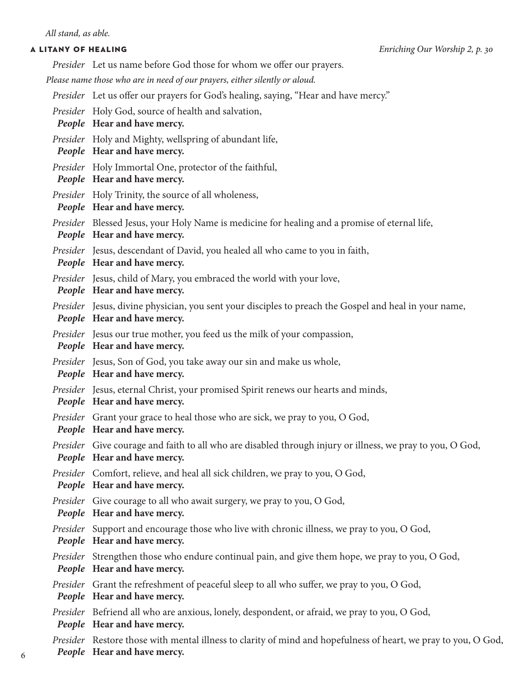*Presider* Let us name before God those for whom we offer our prayers.

*Please name those who are in need of our prayers, either silently or aloud.*

- *Presider* Let us offer our prayers for God's healing, saying, "Hear and have mercy."
- *Presider* Holy God, source of health and salvation,

*People* **Hear and have mercy.**

- *Presider* Holy and Mighty, wellspring of abundant life,
- *People* **Hear and have mercy.**
- *Presider* Holy Immortal One, protector of the faithful,

*People* **Hear and have mercy.**

*Presider* Holy Trinity, the source of all wholeness,

*People* **Hear and have mercy.**

*Presider* Blessed Jesus, your Holy Name is medicine for healing and a promise of eternal life,

*People* **Hear and have mercy.**

*Presider* Jesus, descendant of David, you healed all who came to you in faith,

*People* **Hear and have mercy.**

*Presider* Jesus, child of Mary, you embraced the world with your love,

```
People Hear and have mercy.
```
*Presider* Jesus, divine physician, you sent your disciples to preach the Gospel and heal in your name,

*People* **Hear and have mercy.**

*Presider* Jesus our true mother, you feed us the milk of your compassion,

*People* **Hear and have mercy.**

*Presider* Jesus, Son of God, you take away our sin and make us whole,

*People* **Hear and have mercy.**

*Presider* Jesus, eternal Christ, your promised Spirit renews our hearts and minds,

*People* **Hear and have mercy.**

*Presider* Grant your grace to heal those who are sick, we pray to you, O God,

*People* **Hear and have mercy.**

- *Presider* Give courage and faith to all who are disabled through injury or illness, we pray to you, O God, *People* **Hear and have mercy.**
- *Presider* Comfort, relieve, and heal all sick children, we pray to you, O God,

*People* **Hear and have mercy.**

- *Presider* Give courage to all who await surgery, we pray to you, O God,
- *People* **Hear and have mercy.**
- *Presider* Support and encourage those who live with chronic illness, we pray to you, O God, *People* **Hear and have mercy.**
- *Presider* Strengthen those who endure continual pain, and give them hope, we pray to you, O God, *People* **Hear and have mercy.**
- *Presider* Grant the refreshment of peaceful sleep to all who suffer, we pray to you, O God, *People* **Hear and have mercy.**
- *Presider* Befriend all who are anxious, lonely, despondent, or afraid, we pray to you, O God, *People* **Hear and have mercy.**

*Presider* Restore those with mental illness to clarity of mind and hopefulness of heart, we pray to you, O God,

*People* **Hear and have mercy.**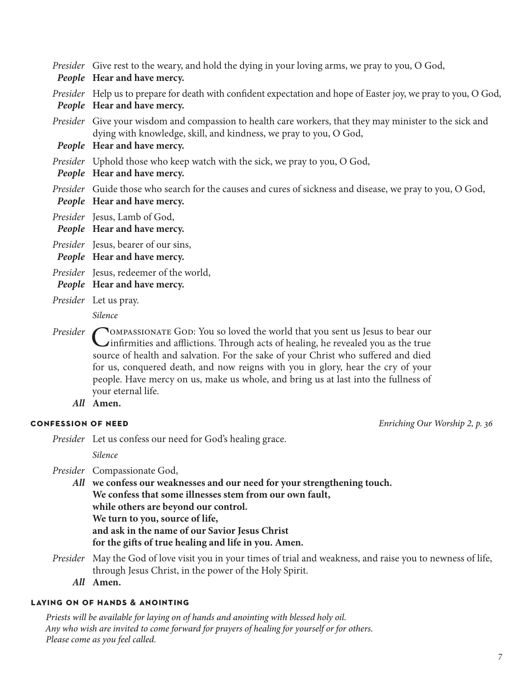COMPASSIONATE GOD: You so loved the world that you sent us Jesus to bear our<br>Cinfirmities and afflictions. Through acts of healing, he revealed you as the true<br> $\frac{1}{2}$ source of health and salvation. For the sake of your Christ who suffered and died for us, conquered death, and now reigns with you in glory, hear the cry of your people. Have mercy on us, make us whole, and bring us at last into the fullness of your eternal life. *All* **Amen. confession of need** *Enriching Our Worship 2, p. 36 Presider* Let us confess our need for God's healing grace.  *Silence Presider* Compassionate God, *All* **we confess our weaknesses and our need for your strengthening touch. We confess that some illnesses stem from our own fault, while others are beyond our control. We turn to you, source of life, and ask in the name of our Savior Jesus Christ for the gifts of true healing and life in you. Amen.** *Presider* COMPASSIONATE GOD: You so loved the world that you sent us Jesus to bear our

*Presider* Give rest to the weary, and hold the dying in your loving arms, we pray to you, O God,

dying with knowledge, skill, and kindness, we pray to you, O God,

*Presider* Uphold those who keep watch with the sick, we pray to you, O God,

*Presider* Help us to prepare for death with confident expectation and hope of Easter joy, we pray to you, O God,

*Presider* Give your wisdom and compassion to health care workers, that they may minister to the sick and

*Presider* Guide those who search for the causes and cures of sickness and disease, we pray to you, O God,

*Presider* May the God of love visit you in your times of trial and weakness, and raise you to newness of life, through Jesus Christ, in the power of the Holy Spirit.

*All* **Amen.**

### **laying on of hands & anointing**

*People* **Hear and have mercy.**

*People* **Hear and have mercy.**

*People* **Hear and have mercy.**

*People* **Hear and have mercy.**

*People* **Hear and have mercy.**

*Presider* Jesus, redeemer of the world, *People* **Hear and have mercy.**

*Presider* Jesus, Lamb of God, *People* **Hear and have mercy.** *Presider* Jesus, bearer of our sins, *People* **Hear and have mercy.**

*Presider* Let us pray.  *Silence*

*Priests will be available for laying on of hands and anointing with blessed holy oil. Any who wish are invited to come forward for prayers of healing for yourself or for others. Please come as you feel called.*

7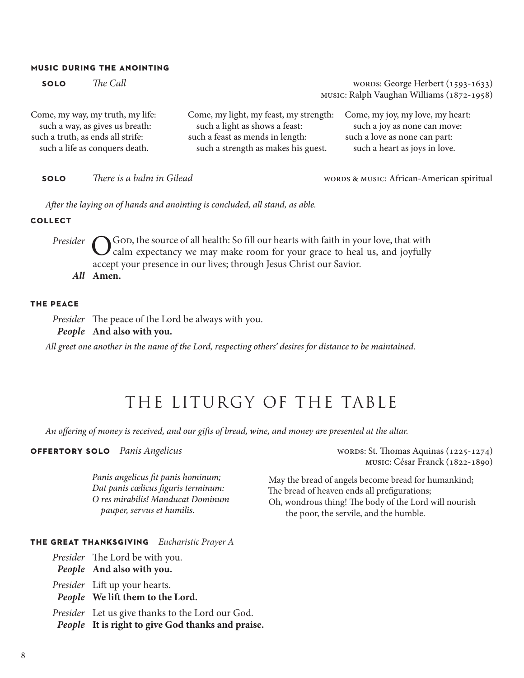#### **music during the anointing**

| <b>SOLO</b>                       | The Call |                                        | WORDS: George Herbert (1593-1633)<br>MUSIC: Ralph Vaughan Williams (1872-1958) |
|-----------------------------------|----------|----------------------------------------|--------------------------------------------------------------------------------|
| Come, my way, my truth, my life:  |          | Come, my light, my feast, my strength: | Come, my joy, my love, my heart:                                               |
| such a way, as gives us breath:   |          | such a light as shows a feast:         | such a joy as none can move:                                                   |
| such a truth, as ends all strife: |          | such a feast as mends in length:       | such a love as none can part:                                                  |
| such a life as conquers death.    |          | such a strength as makes his guest.    | such a heart as joys in love.                                                  |

**SOLO** *There is a balm in Gilead COLO <i>There is a balm in Gilead* **WORDS & MUSIC: African-American spiritual** 

*After the laying on of hands and anointing is concluded, all stand, as able.*

**collect**

*Presider* **O** God, the source of all health: So fill our hearts with faith in your love, that with calm expectancy we may make room for your grace to heal us, and joyfully calm expectancy we may make room for your grace to heal us, and joyfully accept your presence in our lives; through Jesus Christ our Savior. *All* **Amen.**

#### **the peace**

*Presider* The peace of the Lord be always with you.

*People* **And also with you.**

*All greet one another in the name of the Lord, respecting others' desires for distance to be maintained.*

## THE LITURGY OF THE TABLE

*An offering of money is received, and our gifts of bread, wine, and money are presented at the altar.*

**OFFERTORY SOLO** *Panis Angelicus* **words: St. Thomas Aquinas (1225-1274)** 

*Panis angelicus fit panis hominum; Dat panis cœlicus figuris terminum: O res mirabilis! Manducat Dominum pauper, servus et humilis.*

music: César Franck (1822-1890)

May the bread of angels become bread for humankind; The bread of heaven ends all prefigurations; Oh, wondrous thing! The body of the Lord will nourish the poor, the servile, and the humble.

#### **the great thanksgiving** *Eucharistic Prayer A*

*Presider* The Lord be with you.

*People* **And also with you.**

*Presider* Lift up your hearts.

*People* **We lift them to the Lord.**

*Presider* Let us give thanks to the Lord our God.

*People* **It is right to give God thanks and praise.**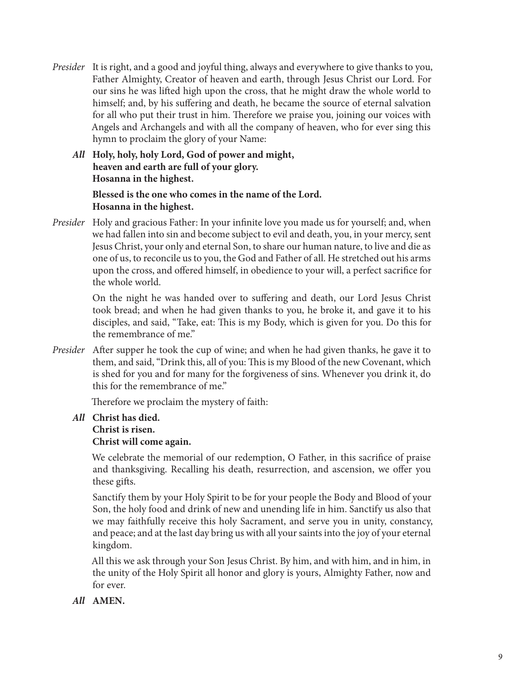- *Presider* It is right, and a good and joyful thing, always and everywhere to give thanks to you, Father Almighty, Creator of heaven and earth, through Jesus Christ our Lord. For our sins he was lifted high upon the cross, that he might draw the whole world to himself; and, by his suffering and death, he became the source of eternal salvation for all who put their trust in him. Therefore we praise you, joining our voices with Angels and Archangels and with all the company of heaven, who for ever sing this hymn to proclaim the glory of your Name:
	- *All* **Holy, holy, holy Lord, God of power and might, heaven and earth are full of your glory. Hosanna in the highest.**

**Blessed is the one who comes in the name of the Lord. Hosanna in the highest.**

*Presider* Holy and gracious Father: In your infinite love you made us for yourself; and, when we had fallen into sin and become subject to evil and death, you, in your mercy, sent Jesus Christ, your only and eternal Son, to share our human nature, to live and die as one of us, to reconcile us to you, the God and Father of all. He stretched out his arms upon the cross, and offered himself, in obedience to your will, a perfect sacrifice for the whole world.

> On the night he was handed over to suffering and death, our Lord Jesus Christ took bread; and when he had given thanks to you, he broke it, and gave it to his disciples, and said, "Take, eat: This is my Body, which is given for you. Do this for the remembrance of me."

*Presider* After supper he took the cup of wine; and when he had given thanks, he gave it to them, and said, "Drink this, all of you: This is my Blood of the new Covenant, which is shed for you and for many for the forgiveness of sins. Whenever you drink it, do this for the remembrance of me."

Therefore we proclaim the mystery of faith:

#### *All* **Christ has died. Christ is risen. Christ will come again.**

We celebrate the memorial of our redemption, O Father, in this sacrifice of praise and thanksgiving. Recalling his death, resurrection, and ascension, we offer you these gifts.

Sanctify them by your Holy Spirit to be for your people the Body and Blood of your Son, the holy food and drink of new and unending life in him. Sanctify us also that we may faithfully receive this holy Sacrament, and serve you in unity, constancy, and peace; and at the last day bring us with all your saints into the joy of your eternal kingdom.

All this we ask through your Son Jesus Christ. By him, and with him, and in him, in the unity of the Holy Spirit all honor and glory is yours, Almighty Father, now and for ever.

*All* **AMEN.**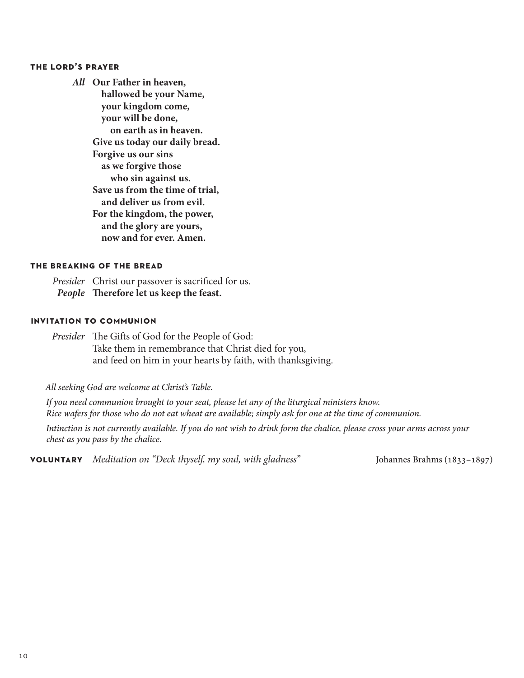#### **the lord's prayer**

*All* **Our Father in heaven, hallowed be your Name, your kingdom come, your will be done, on earth as in heaven. Give us today our daily bread. Forgive us our sins as we forgive those who sin against us. Save us from the time of trial, and deliver us from evil. For the kingdom, the power, and the glory are yours, now and for ever. Amen.**

### **the breaking of the bread**

*Presider* Christ our passover is sacrificed for us. *People* **Therefore let us keep the feast.**

#### **invitation to communion**

*Presider* The Gifts of God for the People of God: Take them in remembrance that Christ died for you, and feed on him in your hearts by faith, with thanksgiving.

*All seeking God are welcome at Christ's Table.*

*If you need communion brought to your seat, please let any of the liturgical ministers know. Rice wafers for those who do not eat wheat are available; simply ask for one at the time of communion.*

*Intinction is not currently available. If you do not wish to drink form the chalice, please cross your arms across your chest as you pass by the chalice.*

**voluntary** *Meditation on "Deck thyself, my soul, with gladness"* Johannes Brahms (1833–1897)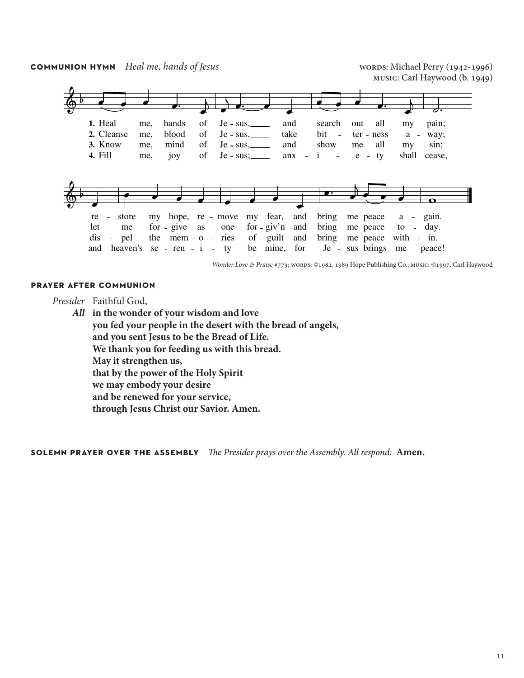**COMMUNION HYMN** *Heal me, hands of Jesus* **words: Michael Perry (1942-1996)** 





*Wonder Love & Praise* #773; wORDS: ©1982, 1989 Hope Publishing Co.; music: ©1997, Carl Haywood

#### **prayer after communion**

*Presider* Faithful God,

*All* **in the wonder of your wisdom and love you fed your people in the desert with the bread of angels, and you sent Jesus to be the Bread of Life. We thank you for feeding us with this bread. May it strengthen us, that by the power of the Holy Spirit we may embody your desire and be renewed for your service, through Jesus Christ our Savior. Amen.**

**solemn prayer over the assembly** *The Presider prays over the Assembly. All respond:* **Amen.**